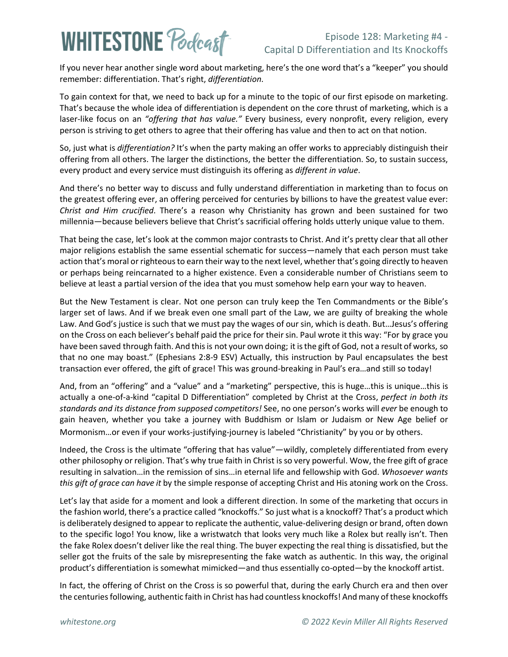## **WHITESTONE Poclast**

### Episode 128: Marketing #4 - Capital D Differentiation and Its Knockoffs

If you never hear another single word about marketing, here's the one word that's a "keeper" you should remember: differentiation. That's right, *differentiation*.

To gain context for that, we need to back up for a minute to the topic of our first episode on marketing. That's because the whole idea of differentiation is dependent on the core thrust of marketing, which is a laser-like focus on an *"offering that has value."* Every business, every nonprofit, every religion, every person is striving to get others to agree that their offering has value and then to act on that notion.

So, just what is *differentiation?* It's when the party making an offer works to appreciably distinguish their offering from all others. The larger the distinctions, the better the differentiation. So, to sustain success, every product and every service must distinguish its offering as *different in value*.

And there's no better way to discuss and fully understand differentiation in marketing than to focus on the greatest offering ever, an offering perceived for centuries by billions to have the greatest value ever: *Christ and Him crucified*. There's a reason why Christianity has grown and been sustained for two millennia—because believers believe that Christ's sacrificial offering holds utterly unique value to them.

That being the case, let's look at the common major contrasts to Christ. And it's pretty clear that all other major religions establish the same essential schematic for success—namely that each person must take action that's moral or righteous to earn their way to the next level, whether that's going directly to heaven or perhaps being reincarnated to a higher existence. Even a considerable number of Christians seem to believe at least a partial version of the idea that you must somehow help earn your way to heaven.

But the New Testament is clear. Not one person can truly keep the Ten Commandments or the Bible's larger set of laws. And if we break even one small part of the Law, we are guilty of breaking the whole Law. And God's justice is such that we must pay the wages of our sin, which is death. But…Jesus's offering on the Cross on each believer's behalf paid the price for their sin. Paul wrote it this way: "For by grace you have been saved through faith. And this is not your own doing; it is the gift of God, not a result of works, so that no one may boast." (Ephesians 2:8-9 ESV) Actually, this instruction by Paul encapsulates the best transaction ever offered, the gift of grace! This was ground-breaking in Paul's era…and still so today!

And, from an "offering" and a "value" and a "marketing" perspective, this is huge…this is unique…this is actually a one-of-a-kind "capital D Differentiation" completed by Christ at the Cross, *perfect in both its standards and its distance from supposed competitors!* See, no one person's works will *ever* be enough to gain heaven, whether you take a journey with Buddhism or Islam or Judaism or New Age belief or Mormonism…or even if your works-justifying-journey is labeled "Christianity" by you or by others.

Indeed, the Cross is the ultimate "offering that has value"—wildly, completely differentiated from every other philosophy or religion. That's why true faith in Christ is so very powerful. Wow, the free gift of grace resulting in salvation…in the remission of sins…in eternal life and fellowship with God. *Whosoever wants this gift of grace can have it* by the simple response of accepting Christ and His atoning work on the Cross.

Let's lay that aside for a moment and look a different direction. In some of the marketing that occurs in the fashion world, there's a practice called "knockoffs." So just what is a knockoff? That's a product which is deliberately designed to appear to replicate the authentic, value-delivering design or brand, often down to the specific logo! You know, like a wristwatch that looks very much like a Rolex but really isn't. Then the fake Rolex doesn't deliver like the real thing. The buyer expecting the real thing is dissatisfied, but the seller got the fruits of the sale by misrepresenting the fake watch as authentic. In this way, the original product's differentiation is somewhat mimicked—and thus essentially co-opted—by the knockoff artist.

In fact, the offering of Christ on the Cross is so powerful that, during the early Church era and then over the centuries following, authentic faith in Christ has had countless knockoffs! And many of these knockoffs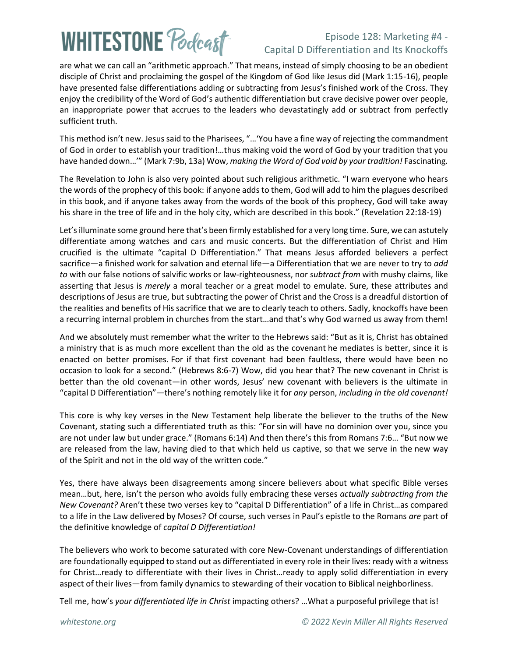# **WHITESTONE Podcast**

### Episode 128: Marketing #4 - Capital D Differentiation and Its Knockoffs

are what we can call an "arithmetic approach." That means, instead of simply choosing to be an obedient disciple of Christ and proclaiming the gospel of the Kingdom of God like Jesus did (Mark 1:15-16), people have presented false differentiations adding or subtracting from Jesus's finished work of the Cross. They enjoy the credibility of the Word of God's authentic differentiation but crave decisive power over people, an inappropriate power that accrues to the leaders who devastatingly add or subtract from perfectly sufficient truth.

This method isn't new. Jesus said to the Pharisees, "…'You have a fine way of rejecting the commandment of God in order to establish your tradition!…thus making void the word of God by your tradition that you have handed down…'" (Mark 7:9b, 13a) Wow, *making the Word of God void by your tradition!* Fascinating*.*

The Revelation to John is also very pointed about such religious arithmetic. "I warn everyone who hears the words of the prophecy of this book: if anyone adds to them, God will add to him the plagues described in this book, and if anyone takes away from the words of the book of this prophecy, God will take away his share in the tree of life and in the holy city, which are described in this book." (Revelation 22:18-19)

Let's illuminate some ground here that's been firmly established for a very long time. Sure, we can astutely differentiate among watches and cars and music concerts. But the differentiation of Christ and Him crucified is the ultimate "capital D Differentiation." That means Jesus afforded believers a perfect sacrifice—a finished work for salvation and eternal life—a Differentiation that we are never to try to *add to* with our false notions of salvific works or law-righteousness, nor *subtract from* with mushy claims, like asserting that Jesus is *merely* a moral teacher or a great model to emulate. Sure, these attributes and descriptions of Jesus are true, but subtracting the power of Christ and the Cross is a dreadful distortion of the realities and benefits of His sacrifice that we are to clearly teach to others. Sadly, knockoffs have been a recurring internal problem in churches from the start…and that's why God warned us away from them!

And we absolutely must remember what the writer to the Hebrews said: "But as it is, Christ has obtained a ministry that is as much more excellent than the old as the covenant he mediates is better, since it is enacted on better promises. For if that first covenant had been faultless, there would have been no occasion to look for a second." (Hebrews 8:6-7) Wow, did you hear that? The new covenant in Christ is better than the old covenant—in other words, Jesus' new covenant with believers is the ultimate in "capital D Differentiation"—there's nothing remotely like it for *any* person, *including in the old covenant!*

This core is why key verses in the New Testament help liberate the believer to the truths of the New Covenant, stating such a differentiated truth as this: "For sin will have no dominion over you, since you are not under law but under grace." (Romans 6:14) And then there's this from Romans 7:6… "But now we are released from the law, having died to that which held us captive, so that we serve in the new way of the Spirit and not in the old way of the written code."

Yes, there have always been disagreements among sincere believers about what specific Bible verses mean…but, here, isn't the person who avoids fully embracing these verses *actually subtracting from the New Covenant?* Aren't these two verses key to "capital D Differentiation" of a life in Christ…as compared to a life in the Law delivered by Moses? Of course, such verses in Paul's epistle to the Romans *are* part of the definitive knowledge of *capital D Differentiation!*

The believers who work to become saturated with core New-Covenant understandings of differentiation are foundationally equipped to stand out as differentiated in every role in their lives: ready with a witness for Christ…ready to differentiate with their lives in Christ…ready to apply solid differentiation in every aspect of their lives—from family dynamics to stewarding of their vocation to Biblical neighborliness.

Tell me, how's *your differentiated life in Christ* impacting others? …What a purposeful privilege that is!